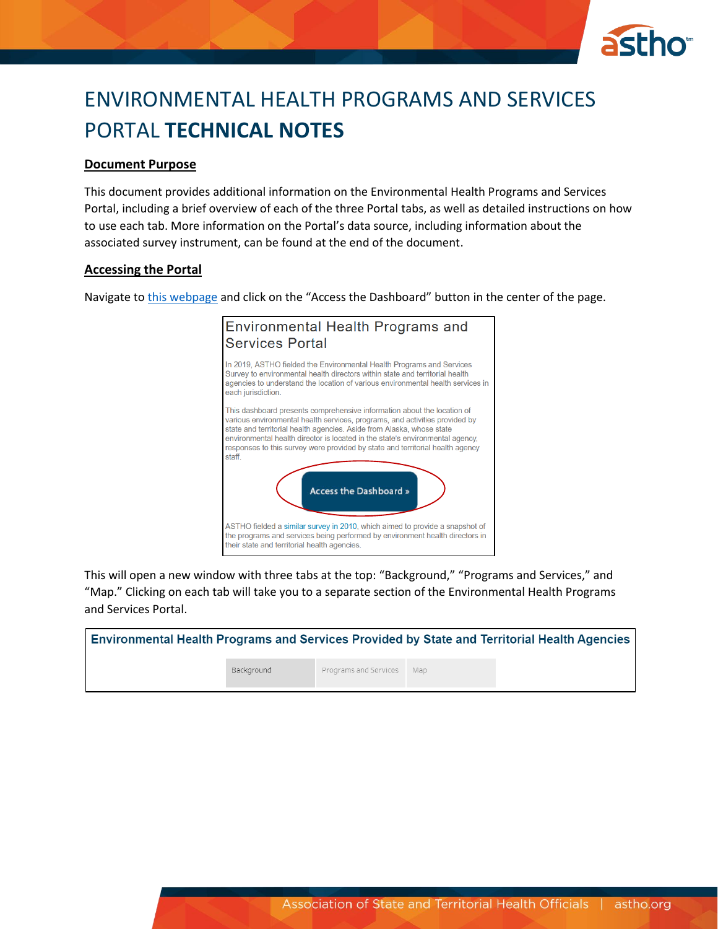

# ENVIRONMENTAL HEALTH PROGRAMS AND SERVICES PORTAL **TECHNICAL NOTES**

#### **Document Purpose**

This document provides additional information on the Environmental Health Programs and Services Portal, including a brief overview of each of the three Portal tabs, as well as detailed instructions on how to use each tab. More information on the Portal's data source, including information about the associated survey instrument, can be found at the end of the document.

#### **Accessing the Portal**

Navigate to [this webpage](https://www.astho.org/environmental-health/state-territory-environmental-health-programs-and-services-portal/#close) and click on the "Access the Dashboard" button in the center of the page.



This will open a new window with three tabs at the top: "Background," "Programs and Services," and "Map." Clicking on each tab will take you to a separate section of the Environmental Health Programs and Services Portal.

| Environmental Health Programs and Services Provided by State and Territorial Health Agencies |            |                           |  |
|----------------------------------------------------------------------------------------------|------------|---------------------------|--|
|                                                                                              | Background | Programs and Services Map |  |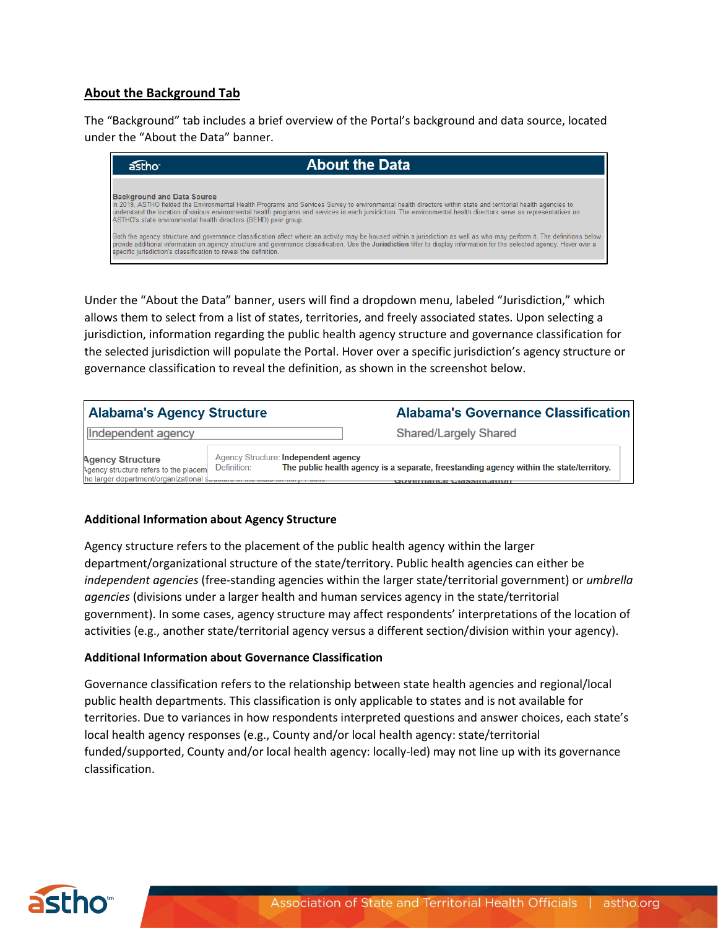# **About the Background Tab**

The "Background" tab includes a brief overview of the Portal's background and data source, located under the "About the Data" banner.



Under the "About the Data" banner, users will find a dropdown menu, labeled "Jurisdiction," which allows them to select from a list of states, territories, and freely associated states. Upon selecting a jurisdiction, information regarding the public health agency structure and governance classification for the selected jurisdiction will populate the Portal. Hover over a specific jurisdiction's agency structure or governance classification to reveal the definition, as shown in the screenshot below.

| <b>Alabama's Agency Structure</b>                                                                          |                                                     | <b>Alabama's Governance Classification</b>                                                                                    |
|------------------------------------------------------------------------------------------------------------|-----------------------------------------------------|-------------------------------------------------------------------------------------------------------------------------------|
| Independent agency                                                                                         |                                                     | Shared/Largely Shared                                                                                                         |
| <b>Agency Structure</b><br>Agency structure refers to the placem<br>he larger department/organizational s. | Agency Structure: Independent agency<br>Definition: | The public health agency is a separate, freestanding agency within the state/territory.<br><b>UUVULIMIILU LIMASIIILALIUIT</b> |

#### **Additional Information about Agency Structure**

Agency structure refers to the placement of the public health agency within the larger department/organizational structure of the state/territory. Public health agencies can either be *independent agencies* (free-standing agencies within the larger state/territorial government) or *umbrella agencies* (divisions under a larger health and human services agency in the state/territorial government). In some cases, agency structure may affect respondents' interpretations of the location of activities (e.g., another state/territorial agency versus a different section/division within your agency).

#### **Additional Information about Governance Classification**

Governance classification refers to the relationship between state health agencies and regional/local public health departments. This classification is only applicable to states and is not available for territories. Due to variances in how respondents interpreted questions and answer choices, each state's local health agency responses (e.g., County and/or local health agency: state/territorial funded/supported, County and/or local health agency: locally-led) may not line up with its governance classification.

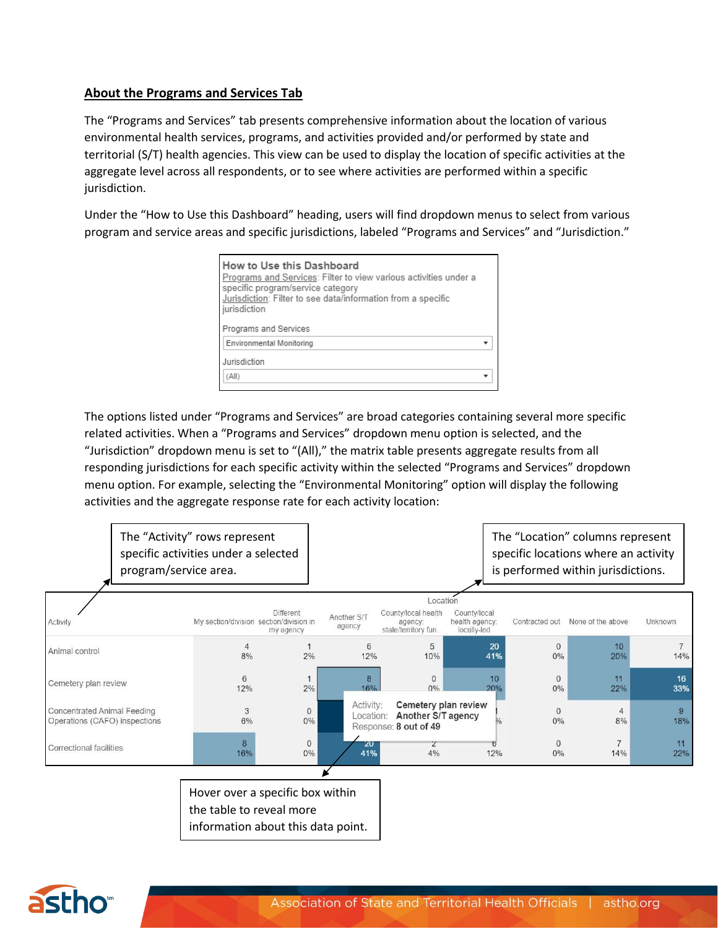# **About the Programs and Services Tab**

The "Programs and Services" tab presents comprehensive information about the location of various environmental health services, programs, and activities provided and/or performed by state and territorial (S/T) health agencies. This view can be used to display the location of specific activities at the aggregate level across all respondents, or to see where activities are performed within a specific jurisdiction.

Under the "How to Use this Dashboard" heading, users will find dropdown menus to select from various program and service areas and specific jurisdictions, labeled "Programs and Services" and "Jurisdiction."

| How to Use this Dashboard<br>Programs and Services: Filter to view various activities under a<br>specific program/service category<br>Jurisdiction: Filter to see data/information from a specific<br>jurisdiction |  |
|--------------------------------------------------------------------------------------------------------------------------------------------------------------------------------------------------------------------|--|
| Programs and Services                                                                                                                                                                                              |  |
| Environmental Monitoring                                                                                                                                                                                           |  |
| Jurisdiction<br>(All)                                                                                                                                                                                              |  |

The options listed under "Programs and Services" are broad categories containing several more specific related activities. When a "Programs and Services" dropdown menu option is selected, and the "Jurisdiction" dropdown menu is set to "(All)," the matrix table presents aggregate results from all responding jurisdictions for each specific activity within the selected "Programs and Services" dropdown menu option. For example, selecting the "Environmental Monitoring" option will display the following activities and the aggregate response rate for each activity location:

|                                                                     | The "Activity" rows represent<br>specific activities under a selected<br>program/service area. |                        |                       |                                                                               |                                               |                | The "Location" columns represent<br>specific locations where an activity<br>is performed within jurisdictions. |                       |
|---------------------------------------------------------------------|------------------------------------------------------------------------------------------------|------------------------|-----------------------|-------------------------------------------------------------------------------|-----------------------------------------------|----------------|----------------------------------------------------------------------------------------------------------------|-----------------------|
|                                                                     |                                                                                                |                        |                       | Location                                                                      |                                               |                |                                                                                                                |                       |
| Activity                                                            | My section/division section/division in                                                        | Different<br>my agency | Another S/T<br>agency | County/local health<br>agency:<br>state/territory fun                         | County/local<br>health agency:<br>locally-led | Contracted out | None of the above                                                                                              | Unknown               |
| Animal control                                                      | 4<br>8%                                                                                        | 2%                     | 6<br>12%              | 5<br>10%                                                                      | 20<br>41%                                     | $\Omega$<br>0% | 10<br>20%                                                                                                      | 14%                   |
| Cemetery plan review                                                | 6<br>12%                                                                                       | 2%                     | 8<br>16%              | $\Omega$<br>$0\%$                                                             | 10<br>20%                                     | $\Omega$<br>0% | 11<br>22%                                                                                                      | 16<br>33%             |
| <b>Concentrated Animal Feeding</b><br>Operations (CAFO) inspections | 3<br>6%                                                                                        | $\circ$<br>0%          | Activity:             | Cemetery plan review<br>Location: Another S/T agency<br>Response: 8 out of 49 |                                               | $\Omega$<br>0% | 4<br>8%                                                                                                        | $\overline{9}$<br>18% |
| Correctional facilities                                             | 8<br>16%                                                                                       | $\mathbf{0}$<br>0%     | 20<br>41%             | ۷<br>4%                                                                       | 12%                                           | $\Omega$<br>0% | 14%                                                                                                            | 11<br>22%             |
|                                                                     |                                                                                                |                        |                       |                                                                               |                                               |                |                                                                                                                |                       |
|                                                                     | Hover over a specific box within<br>the table to reveal more                                   |                        |                       |                                                                               |                                               |                |                                                                                                                |                       |

information about this data point.

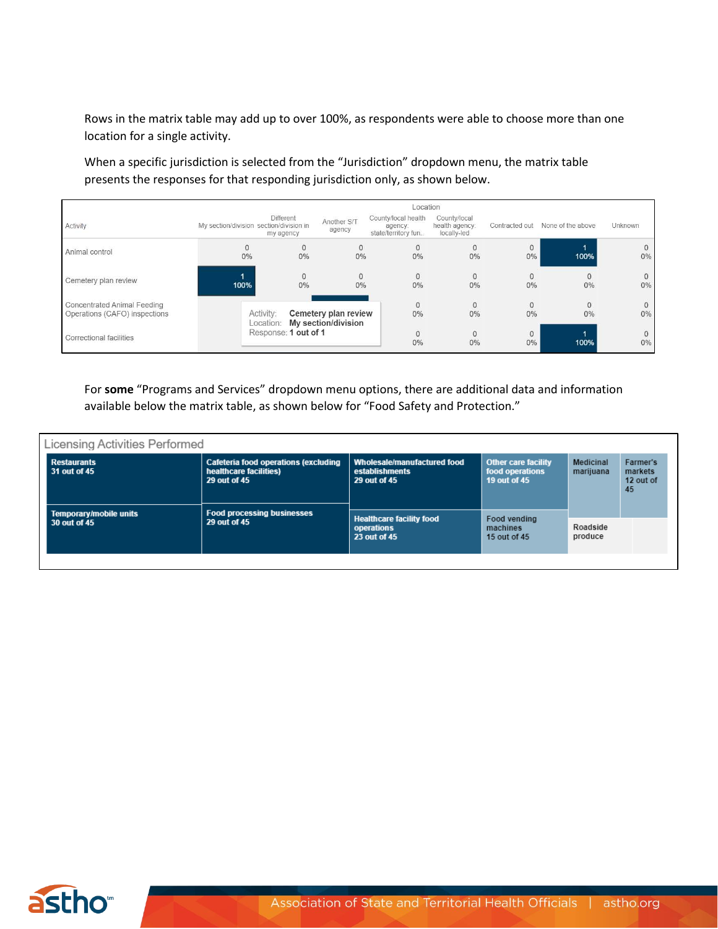Rows in the matrix table may add up to over 100%, as respondents were able to choose more than one location for a single activity.

When a specific jurisdiction is selected from the "Jurisdiction" dropdown menu, the matrix table presents the responses for that responding jurisdiction only, as shown below.

|                                                                     | Location                                |                        |                                                       |                                                       |                                               |                    |                   |                       |
|---------------------------------------------------------------------|-----------------------------------------|------------------------|-------------------------------------------------------|-------------------------------------------------------|-----------------------------------------------|--------------------|-------------------|-----------------------|
| Activity                                                            | My section/division section/division in | Different<br>my agency | Another S/T<br>agency                                 | County/local health<br>agency:<br>state/territory fun | County/local<br>health agency:<br>locally-led | Contracted out     | None of the above | Unknown               |
| Animal control                                                      | 0%                                      | $\mathbf{0}$<br>0%     | $\Omega$<br>0%                                        | 0<br>0%                                               | $\mathbf{0}$<br>0%                            | $\mathbf{0}$<br>0% | 100%              | $\mathbf{0}$<br>$0\%$ |
| Cemetery plan review                                                | 100%                                    | $\circ$<br>0%          | 0<br>0%                                               | 0<br>0%                                               | $\circ$<br>0%                                 | $\Omega$<br>0%     | $\Omega$<br>0%    | $\circ$<br>$0\%$      |
| <b>Concentrated Animal Feeding</b><br>Operations (CAFO) inspections | Activity:                               |                        | Cemetery plan review<br>Location: My section/division | 0%                                                    | $\circ$<br>0%                                 | $\Omega$<br>0%     | $\Omega$<br>0%    | $\circ$<br>0%         |
| <b>Correctional facilities</b>                                      |                                         | Response: 1 out of 1   |                                                       | 0%                                                    | $\mathbf{0}$<br>0%                            | $\Omega$<br>$0\%$  | 100%              | $\circ$<br>$0\%$      |

For **some** "Programs and Services" dropdown menu options, there are additional data and information available below the matrix table, as shown below for "Food Safety and Protection."

| Licensing Activities Performed         |                                                                                       |                                                               |                                                               |                               |                                        |  |  |  |  |
|----------------------------------------|---------------------------------------------------------------------------------------|---------------------------------------------------------------|---------------------------------------------------------------|-------------------------------|----------------------------------------|--|--|--|--|
| <b>Restaurants</b><br>31 out of 45     | <b>Cafeteria food operations (excluding</b><br>healthcare facilities)<br>29 out of 45 | Wholesale/manufactured food<br>establishments<br>29 out of 45 | <b>Other care facility</b><br>food operations<br>19 out of 45 | <b>Medicinal</b><br>marijuana | Farmer's<br>markets<br>12 out of<br>45 |  |  |  |  |
| Temporary/mobile units<br>30 out of 45 | <b>Food processing businesses</b><br>29 out of 45                                     | <b>Healthcare facility food</b><br>operations<br>23 out of 45 | Food vending<br>machines<br>15 out of 45                      | Roadside<br>produce           |                                        |  |  |  |  |

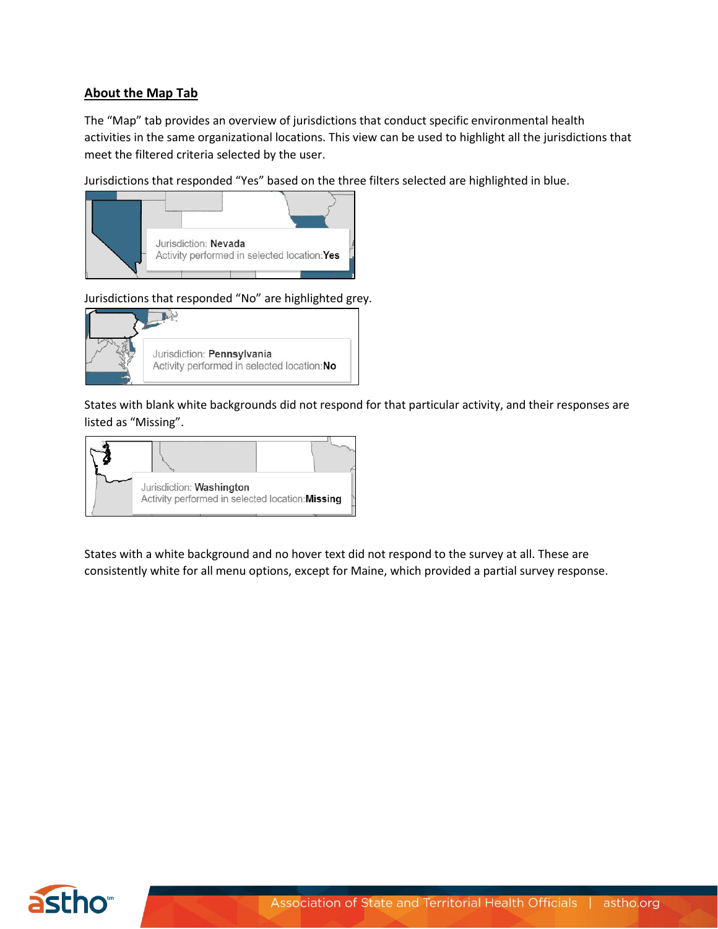# **About the Map Tab**

The "Map" tab provides an overview of jurisdictions that conduct specific environmental health activities in the same organizational locations. This view can be used to highlight all the jurisdictions that meet the filtered criteria selected by the user.

Jurisdictions that responded "Yes" based on the three filters selected are highlighted in blue.



Jurisdictions that responded "No" are highlighted grey.



States with blank white backgrounds did not respond for that particular activity, and their responses are listed as "Missing".



States with a white background and no hover text did not respond to the survey at all. These are consistently white for all menu options, except for Maine, which provided a partial survey response.

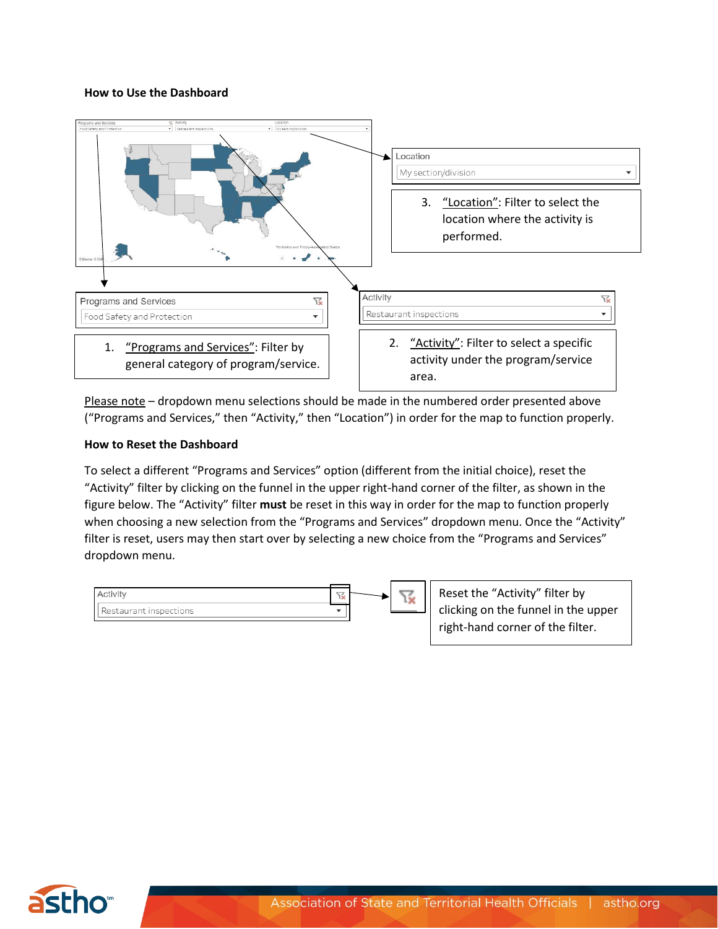#### **How to Use the Dashboard**



Please note – dropdown menu selections should be made in the numbered order presented above ("Programs and Services," then "Activity," then "Location") in order for the map to function properly.

#### **How to Reset the Dashboard**

To select a different "Programs and Services" option (different from the initial choice), reset the "Activity" filter by clicking on the funnel in the upper right-hand corner of the filter, as shown in the figure below. The "Activity" filter **must** be reset in this way in order for the map to function properly when choosing a new selection from the "Programs and Services" dropdown menu. Once the "Activity" filter is reset, users may then start over by selecting a new choice from the "Programs and Services" dropdown menu.



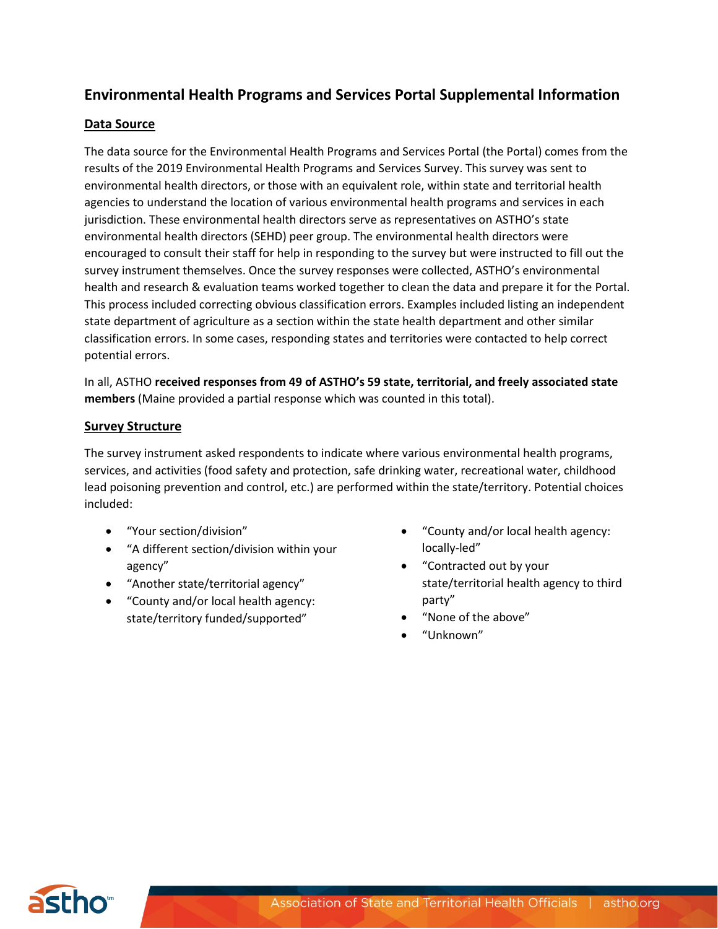# **Environmental Health Programs and Services Portal Supplemental Information**

### **Data Source**

The data source for the Environmental Health Programs and Services Portal (the Portal) comes from the results of the 2019 Environmental Health Programs and Services Survey. This survey was sent to environmental health directors, or those with an equivalent role, within state and territorial health agencies to understand the location of various environmental health programs and services in each jurisdiction. These environmental health directors serve as representatives on ASTHO's state environmental health directors (SEHD) peer group. The environmental health directors were encouraged to consult their staff for help in responding to the survey but were instructed to fill out the survey instrument themselves. Once the survey responses were collected, ASTHO's environmental health and research & evaluation teams worked together to clean the data and prepare it for the Portal. This process included correcting obvious classification errors. Examples included listing an independent state department of agriculture as a section within the state health department and other similar classification errors. In some cases, responding states and territories were contacted to help correct potential errors.

In all, ASTHO **received responses from 49 of ASTHO's 59 state, territorial, and freely associated state members** (Maine provided a partial response which was counted in this total).

#### **Survey Structure**

The survey instrument asked respondents to indicate where various environmental health programs, services, and activities (food safety and protection, safe drinking water, recreational water, childhood lead poisoning prevention and control, etc.) are performed within the state/territory. Potential choices included:

- "Your section/division"
- "A different section/division within your agency"
- "Another state/territorial agency"
- "County and/or local health agency: state/territory funded/supported"
- "County and/or local health agency: locally-led"
- "Contracted out by your state/territorial health agency to third party"
- "None of the above"
- "Unknown"